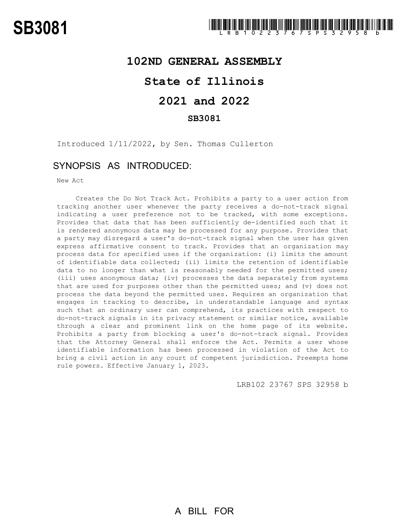### **102ND GENERAL ASSEMBLY**

## **State of Illinois**

# **2021 and 2022**

### **SB3081**

Introduced 1/11/2022, by Sen. Thomas Cullerton

### SYNOPSIS AS INTRODUCED:

New Act

Creates the Do Not Track Act. Prohibits a party to a user action from tracking another user whenever the party receives a do-not-track signal indicating a user preference not to be tracked, with some exceptions. Provides that data that has been sufficiently de-identified such that it is rendered anonymous data may be processed for any purpose. Provides that a party may disregard a user's do-not-track signal when the user has given express affirmative consent to track. Provides that an organization may process data for specified uses if the organization: (i) limits the amount of identifiable data collected; (ii) limits the retention of identifiable data to no longer than what is reasonably needed for the permitted uses; (iii) uses anonymous data; (iv) processes the data separately from systems that are used for purposes other than the permitted uses; and (v) does not process the data beyond the permitted uses. Requires an organization that engages in tracking to describe, in understandable language and syntax such that an ordinary user can comprehend, its practices with respect to do-not-track signals in its privacy statement or similar notice, available through a clear and prominent link on the home page of its website. Prohibits a party from blocking a user's do-not-track signal. Provides that the Attorney General shall enforce the Act. Permits a user whose identifiable information has been processed in violation of the Act to bring a civil action in any court of competent jurisdiction. Preempts home rule powers. Effective January 1, 2023.

LRB102 23767 SPS 32958 b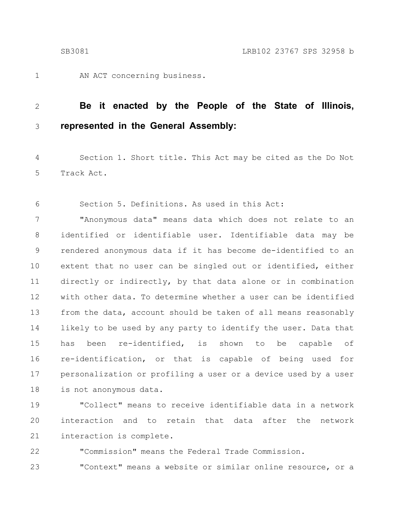1

AN ACT concerning business.

#### **Be it enacted by the People of the State of Illinois, represented in the General Assembly:** 2 3

Section 1. Short title. This Act may be cited as the Do Not Track Act. 4 5

Section 5. Definitions. As used in this Act: 6

"Anonymous data" means data which does not relate to an identified or identifiable user. Identifiable data may be rendered anonymous data if it has become de-identified to an extent that no user can be singled out or identified, either directly or indirectly, by that data alone or in combination with other data. To determine whether a user can be identified from the data, account should be taken of all means reasonably likely to be used by any party to identify the user. Data that has been re-identified, is shown to be capable of re-identification, or that is capable of being used for personalization or profiling a user or a device used by a user is not anonymous data. 7 8 9 10 11 12 13 14 15 16 17 18

"Collect" means to receive identifiable data in a network interaction and to retain that data after the network interaction is complete. 19 20 21

"Commission" means the Federal Trade Commission. "Context" means a website or similar online resource, or a 22 23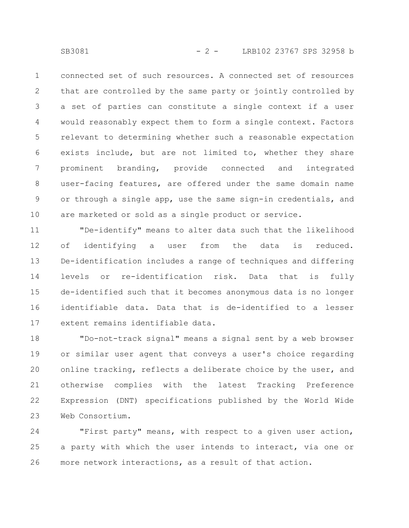connected set of such resources. A connected set of resources that are controlled by the same party or jointly controlled by a set of parties can constitute a single context if a user would reasonably expect them to form a single context. Factors relevant to determining whether such a reasonable expectation exists include, but are not limited to, whether they share prominent branding, provide connected and integrated user-facing features, are offered under the same domain name or through a single app, use the same sign-in credentials, and are marketed or sold as a single product or service. 1 2 3 4 5 6 7 8 9 10

"De-identify" means to alter data such that the likelihood of identifying a user from the data is reduced. De-identification includes a range of techniques and differing levels or re-identification risk. Data that is fully de-identified such that it becomes anonymous data is no longer identifiable data. Data that is de-identified to a lesser extent remains identifiable data. 11 12 13 14 15 16 17

"Do-not-track signal" means a signal sent by a web browser or similar user agent that conveys a user's choice regarding online tracking, reflects a deliberate choice by the user, and otherwise complies with the latest Tracking Preference Expression (DNT) specifications published by the World Wide Web Consortium. 18 19 20 21 22 23

"First party" means, with respect to a given user action, a party with which the user intends to interact, via one or more network interactions, as a result of that action. 24 25 26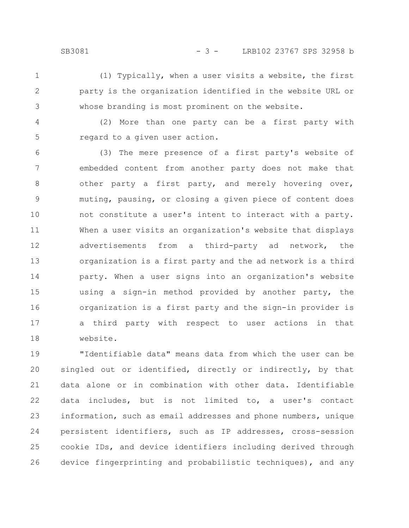- (1) Typically, when a user visits a website, the first party is the organization identified in the website URL or whose branding is most prominent on the website. 1 2 3
- (2) More than one party can be a first party with regard to a given user action. 4 5

(3) The mere presence of a first party's website of embedded content from another party does not make that other party a first party, and merely hovering over, muting, pausing, or closing a given piece of content does not constitute a user's intent to interact with a party. When a user visits an organization's website that displays advertisements from a third-party ad network, the organization is a first party and the ad network is a third party. When a user signs into an organization's website using a sign-in method provided by another party, the organization is a first party and the sign-in provider is a third party with respect to user actions in that website. 6 7 8 9 10 11 12 13 14 15 16 17 18

"Identifiable data" means data from which the user can be singled out or identified, directly or indirectly, by that data alone or in combination with other data. Identifiable data includes, but is not limited to, a user's contact information, such as email addresses and phone numbers, unique persistent identifiers, such as IP addresses, cross-session cookie IDs, and device identifiers including derived through device fingerprinting and probabilistic techniques), and any 19 20 21 22 23 24 25 26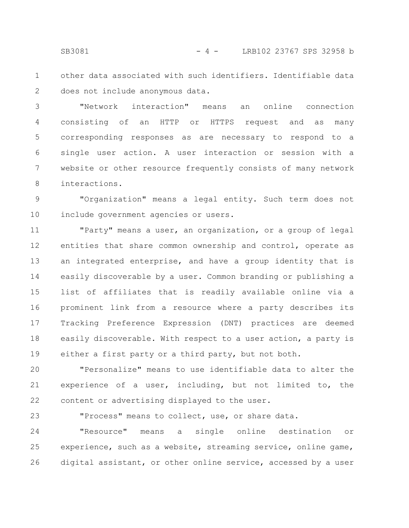other data associated with such identifiers. Identifiable data does not include anonymous data. 1 2

"Network interaction" means an online connection consisting of an HTTP or HTTPS request and as many corresponding responses as are necessary to respond to a single user action. A user interaction or session with a website or other resource frequently consists of many network interactions. 3 4 5 6 7 8

"Organization" means a legal entity. Such term does not include government agencies or users. 9 10

"Party" means a user, an organization, or a group of legal entities that share common ownership and control, operate as an integrated enterprise, and have a group identity that is easily discoverable by a user. Common branding or publishing a list of affiliates that is readily available online via a prominent link from a resource where a party describes its Tracking Preference Expression (DNT) practices are deemed easily discoverable. With respect to a user action, a party is either a first party or a third party, but not both. 11 12 13 14 15 16 17 18 19

"Personalize" means to use identifiable data to alter the experience of a user, including, but not limited to, the content or advertising displayed to the user. 20 21 22

"Process" means to collect, use, or share data. 23

"Resource" means a single online destination or experience, such as a website, streaming service, online game, digital assistant, or other online service, accessed by a user 24 25 26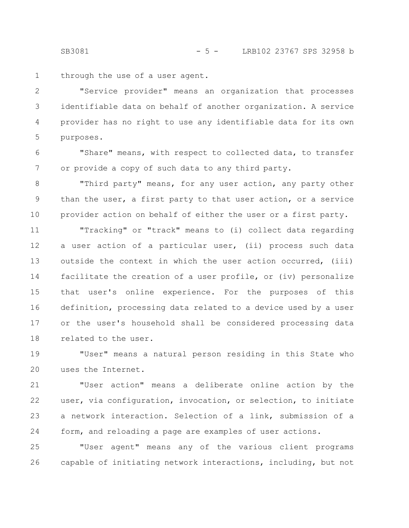SB3081 - 5 - LRB102 23767 SPS 32958 b

through the use of a user agent. 1

"Service provider" means an organization that processes identifiable data on behalf of another organization. A service provider has no right to use any identifiable data for its own purposes. 2 3 4 5

"Share" means, with respect to collected data, to transfer or provide a copy of such data to any third party. 6 7

"Third party" means, for any user action, any party other than the user, a first party to that user action, or a service provider action on behalf of either the user or a first party. 8 9 10

"Tracking" or "track" means to (i) collect data regarding a user action of a particular user, (ii) process such data outside the context in which the user action occurred, (iii) facilitate the creation of a user profile, or (iv) personalize that user's online experience. For the purposes of this definition, processing data related to a device used by a user or the user's household shall be considered processing data related to the user. 11 12 13 14 15 16 17 18

"User" means a natural person residing in this State who uses the Internet. 19 20

"User action" means a deliberate online action by the user, via configuration, invocation, or selection, to initiate a network interaction. Selection of a link, submission of a form, and reloading a page are examples of user actions. 21 22 23 24

"User agent" means any of the various client programs capable of initiating network interactions, including, but not 25 26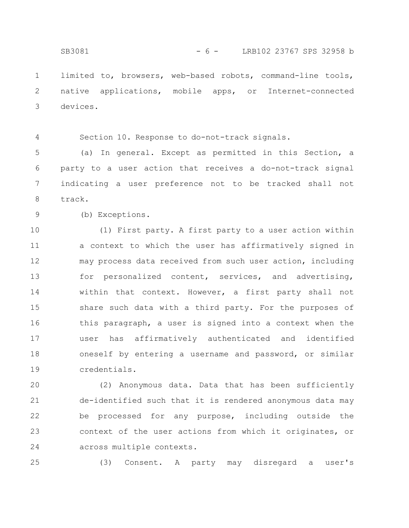limited to, browsers, web-based robots, command-line tools, native applications, mobile apps, or Internet-connected devices. 1 2 3

4

Section 10. Response to do-not-track signals.

(a) In general. Except as permitted in this Section, a party to a user action that receives a do-not-track signal indicating a user preference not to be tracked shall not track. 5 6 7 8

9

(b) Exceptions.

(1) First party. A first party to a user action within a context to which the user has affirmatively signed in may process data received from such user action, including for personalized content, services, and advertising, within that context. However, a first party shall not share such data with a third party. For the purposes of this paragraph, a user is signed into a context when the user has affirmatively authenticated and identified oneself by entering a username and password, or similar credentials. 10 11 12 13 14 15 16 17 18 19

(2) Anonymous data. Data that has been sufficiently de-identified such that it is rendered anonymous data may be processed for any purpose, including outside the context of the user actions from which it originates, or across multiple contexts. 20 21 22 23 24

25

(3) Consent. A party may disregard a user's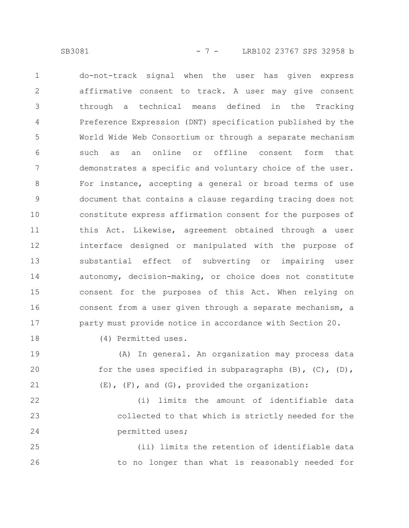SB3081 - 7 - LRB102 23767 SPS 32958 b

do-not-track signal when the user has given express affirmative consent to track. A user may give consent through a technical means defined in the Tracking Preference Expression (DNT) specification published by the World Wide Web Consortium or through a separate mechanism such as an online or offline consent form that demonstrates a specific and voluntary choice of the user. For instance, accepting a general or broad terms of use document that contains a clause regarding tracing does not constitute express affirmation consent for the purposes of this Act. Likewise, agreement obtained through a user interface designed or manipulated with the purpose of substantial effect of subverting or impairing user autonomy, decision-making, or choice does not constitute consent for the purposes of this Act. When relying on consent from a user given through a separate mechanism, a party must provide notice in accordance with Section 20. 1 2 3 4 5 6 7 8 9 10 11 12 13 14 15 16 17

18

(4) Permitted uses.

(A) In general. An organization may process data for the uses specified in subparagraphs  $(B)$ ,  $(C)$ ,  $(D)$ , (E), (F), and (G), provided the organization: 19 20 21

(i) limits the amount of identifiable data collected to that which is strictly needed for the permitted uses; 22 23 24

(ii) limits the retention of identifiable data to no longer than what is reasonably needed for 25 26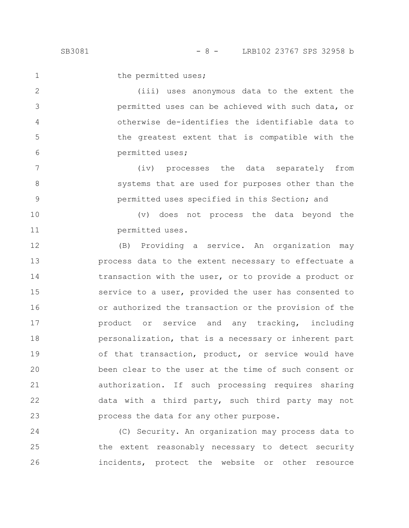1

2

3

4

5

6

7

8

9

the permitted uses;

(iii) uses anonymous data to the extent the permitted uses can be achieved with such data, or otherwise de-identifies the identifiable data to the greatest extent that is compatible with the permitted uses;

(iv) processes the data separately from systems that are used for purposes other than the permitted uses specified in this Section; and

(v) does not process the data beyond the permitted uses. 10 11

(B) Providing a service. An organization may process data to the extent necessary to effectuate a transaction with the user, or to provide a product or service to a user, provided the user has consented to or authorized the transaction or the provision of the product or service and any tracking, including personalization, that is a necessary or inherent part of that transaction, product, or service would have been clear to the user at the time of such consent or authorization. If such processing requires sharing data with a third party, such third party may not process the data for any other purpose. 12 13 14 15 16 17 18 19 20 21 22 23

(C) Security. An organization may process data to the extent reasonably necessary to detect security incidents, protect the website or other resource 24 25 26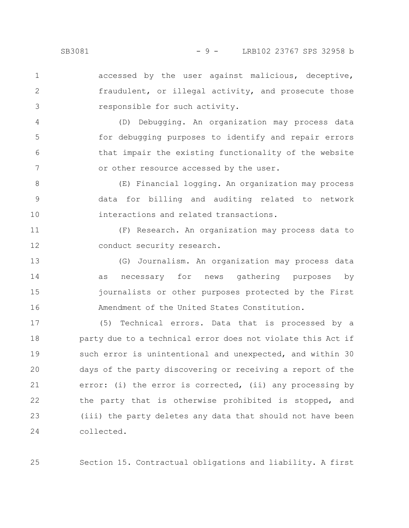accessed by the user against malicious, deceptive, fraudulent, or illegal activity, and prosecute those responsible for such activity. 1 2 3

(D) Debugging. An organization may process data for debugging purposes to identify and repair errors that impair the existing functionality of the website or other resource accessed by the user. 4 5 6 7

(E) Financial logging. An organization may process data for billing and auditing related to network interactions and related transactions. 8 9 10

(F) Research. An organization may process data to conduct security research. 11 12

(G) Journalism. An organization may process data as necessary for news gathering purposes by journalists or other purposes protected by the First Amendment of the United States Constitution. 13 14 15 16

(5) Technical errors. Data that is processed by a party due to a technical error does not violate this Act if such error is unintentional and unexpected, and within 30 days of the party discovering or receiving a report of the error: (i) the error is corrected, (ii) any processing by the party that is otherwise prohibited is stopped, and (iii) the party deletes any data that should not have been collected. 17 18 19 20 21 22 23 24

Section 15. Contractual obligations and liability. A first 25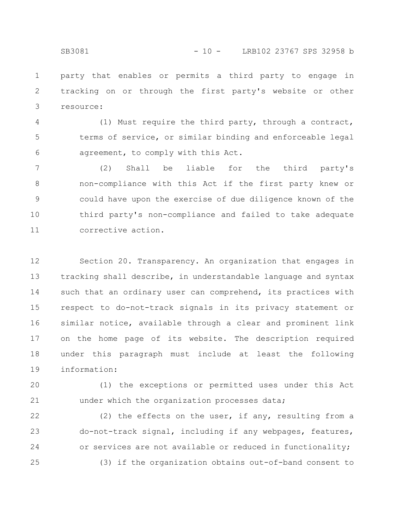party that enables or permits a third party to engage in tracking on or through the first party's website or other resource: 1 2 3

(1) Must require the third party, through a contract, terms of service, or similar binding and enforceable legal agreement, to comply with this Act. 4 5 6

(2) Shall be liable for the third party's non-compliance with this Act if the first party knew or could have upon the exercise of due diligence known of the third party's non-compliance and failed to take adequate corrective action. 7 8 9 10 11

Section 20. Transparency. An organization that engages in tracking shall describe, in understandable language and syntax such that an ordinary user can comprehend, its practices with respect to do-not-track signals in its privacy statement or similar notice, available through a clear and prominent link on the home page of its website. The description required under this paragraph must include at least the following information: 12 13 14 15 16 17 18 19

(1) the exceptions or permitted uses under this Act under which the organization processes data; 20 21

(2) the effects on the user, if any, resulting from a do-not-track signal, including if any webpages, features, or services are not available or reduced in functionality; (3) if the organization obtains out-of-band consent to 22 23 24 25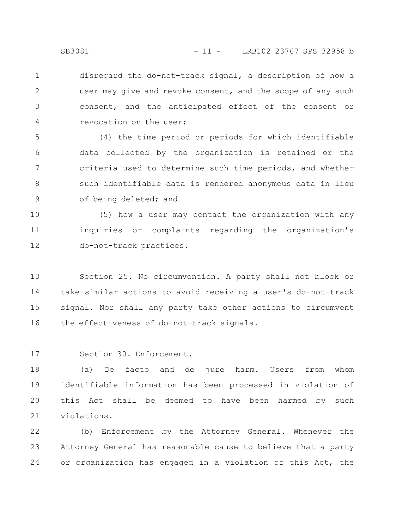disregard the do-not-track signal, a description of how a user may give and revoke consent, and the scope of any such consent, and the anticipated effect of the consent or revocation on the user; 1 2 3 4

(4) the time period or periods for which identifiable data collected by the organization is retained or the criteria used to determine such time periods, and whether such identifiable data is rendered anonymous data in lieu of being deleted; and 5 6 7 8 9

(5) how a user may contact the organization with any inquiries or complaints regarding the organization's do-not-track practices. 10 11 12

Section 25. No circumvention. A party shall not block or take similar actions to avoid receiving a user's do-not-track signal. Nor shall any party take other actions to circumvent the effectiveness of do-not-track signals. 13 14 15 16

Section 30. Enforcement. 17

(a) De facto and de jure harm. Users from whom identifiable information has been processed in violation of this Act shall be deemed to have been harmed by such violations. 18 19 20 21

(b) Enforcement by the Attorney General. Whenever the Attorney General has reasonable cause to believe that a party or organization has engaged in a violation of this Act, the 22 23 24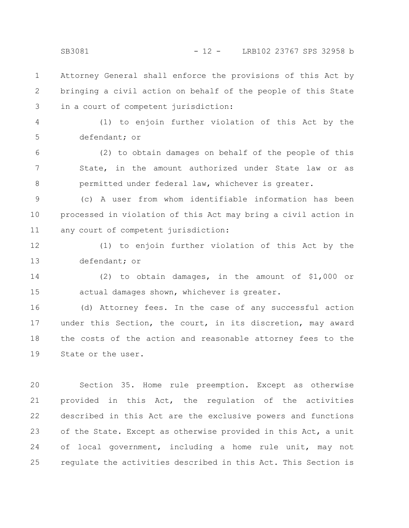Attorney General shall enforce the provisions of this Act by bringing a civil action on behalf of the people of this State in a court of competent jurisdiction: 1 2 3

4

5

(1) to enjoin further violation of this Act by the defendant; or

(2) to obtain damages on behalf of the people of this State, in the amount authorized under State law or as permitted under federal law, whichever is greater. 6 7 8

(c) A user from whom identifiable information has been processed in violation of this Act may bring a civil action in any court of competent jurisdiction: 9 10 11

(1) to enjoin further violation of this Act by the defendant; or 12 13

(2) to obtain damages, in the amount of \$1,000 or actual damages shown, whichever is greater. 14 15

(d) Attorney fees. In the case of any successful action under this Section, the court, in its discretion, may award the costs of the action and reasonable attorney fees to the State or the user. 16 17 18 19

Section 35. Home rule preemption. Except as otherwise provided in this Act, the regulation of the activities described in this Act are the exclusive powers and functions of the State. Except as otherwise provided in this Act, a unit of local government, including a home rule unit, may not regulate the activities described in this Act. This Section is 20 21 22 23 24 25